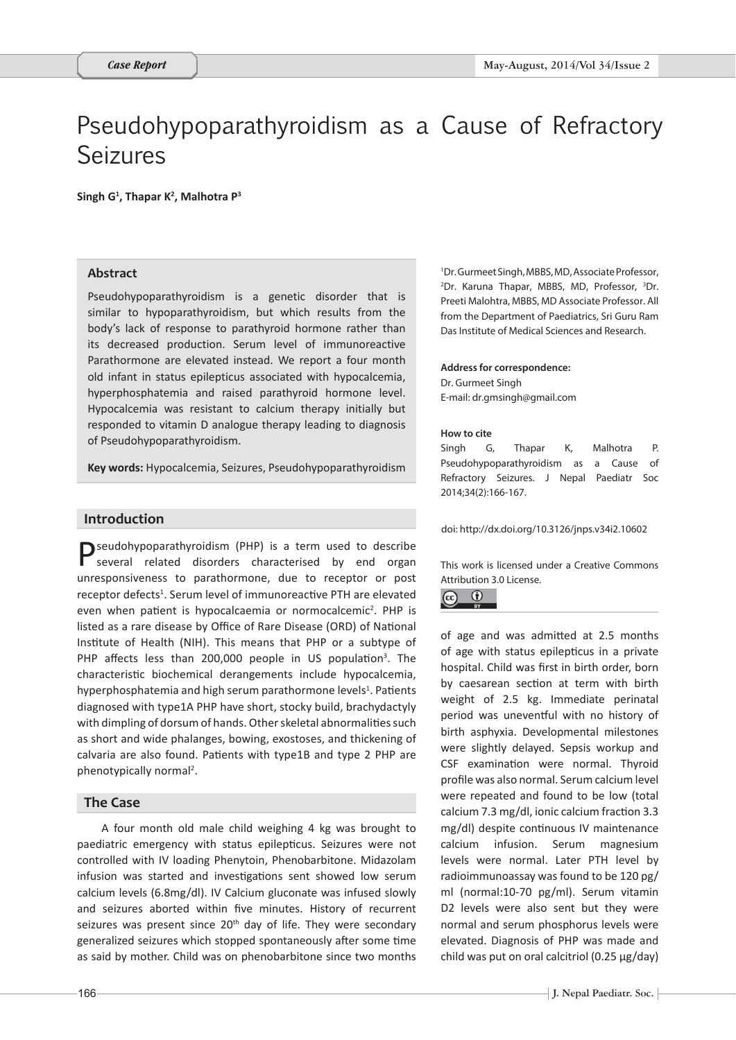# Pseudohypoparathyroidism as a Cause of Refractory Seizures

Singh G<sup>1</sup>, Thapar K<sup>2</sup>, Malhotra P<sup>3</sup>

#### **Abstract**

Pseudohypoparathyroidism is a genetic disorder that is similar to hypoparathyroidism, but which results from the body's lack of response to parathyroid hormone rather than its decreased production. Serum level of immunoreactive Parathormone are elevated instead. We report a four month old infant in status epilepticus associated with hypocalcemia, hyperphosphatemia and raised parathyroid hormone level. Hypocalcemia was resistant to calcium therapy initially but responded to vitamin D analogue therapy leading to diagnosis of Pseudohypoparathyroidism.

**Key words:** Hypocalcemia, Seizures, Pseudohypoparathyroidism

# **Introduction**

**P**seudohypoparathyroidism (PHP) is a term used to describe several related disorders characterised by end organ unresponsiveness to parathormone, due to receptor or post receptor defects<sup>1</sup>. Serum level of immunoreactive PTH are elevated even when patient is hypocalcaemia or normocalcemic<sup>2</sup>. PHP is listed as a rare disease by Office of Rare Disease (ORD) of National Institute of Health (NIH). This means that PHP or a subtype of PHP affects less than 200,000 people in US population<sup>3</sup>. The characteristic biochemical derangements include hypocalcemia, hyperphosphatemia and high serum parathormone levels<sup>1</sup>. Patients diagnosed with type1A PHP have short, stocky build, brachydactyly with dimpling of dorsum of hands. Other skeletal abnormalities such as short and wide phalanges, bowing, exostoses, and thickening of calvaria are also found. Patients with type1B and type 2 PHP are phenotypically normal<sup>2</sup>.

### **The Case**

A four month old male child weighing 4 kg was brought to paediatric emergency with status epilepticus. Seizures were not controlled with IV loading Phenytoin, Phenobarbitone. Midazolam infusion was started and investigations sent showed low serum calcium levels (6.8mg/dl). IV Calcium gluconate was infused slowly and seizures aborted within five minutes. History of recurrent seizures was present since 20<sup>th</sup> day of life. They were secondary generalized seizures which stopped spontaneously after some time as said by mother. Child was on phenobarbitone since two months

1 Dr. Gurmeet Singh, MBBS, MD, Associate Professor, 2 Dr. Karuna Thapar, MBBS, MD, Professor, 3 Dr. Preeti Malohtra, MBBS, MD Associate Professor. All from the Department of Paediatrics, Sri Guru Ram Das Institute of Medical Sciences and Research.

#### **Address for correspondence:**  Dr. Gurmeet Singh

E-mail: dr.gmsingh@gmail.com

#### **How to cite**

Singh G, Thapar K, Malhotra P. Pseudohypoparathyroidism as a Cause of Refractory Seizures. J Nepal Paediatr Soc 2014;34(2):166-167.

doi: http://dx.doi.org/10.3126/jnps.v34i2.10602

This work is licensed under a Creative Commons Attribution 3.0 License.



of age and was admitted at 2.5 months of age with status epilepticus in a private hospital. Child was first in birth order, born by caesarean section at term with birth weight of 2.5 kg. Immediate perinatal period was uneventful with no history of birth asphyxia. Developmental milestones were slightly delayed. Sepsis workup and CSF examination were normal. Thyroid profile was also normal. Serum calcium level were repeated and found to be low (total calcium 7.3 mg/dl, ionic calcium fraction 3.3 mg/dl) despite continuous IV maintenance calcium infusion. Serum magnesium levels were normal. Later PTH level by radioimmunoassay was found to be 120 pg/ ml (normal:10-70 pg/ml). Serum vitamin D2 levels were also sent but they were normal and serum phosphorus levels were elevated. Diagnosis of PHP was made and child was put on oral calcitriol (0.25 μg/day)